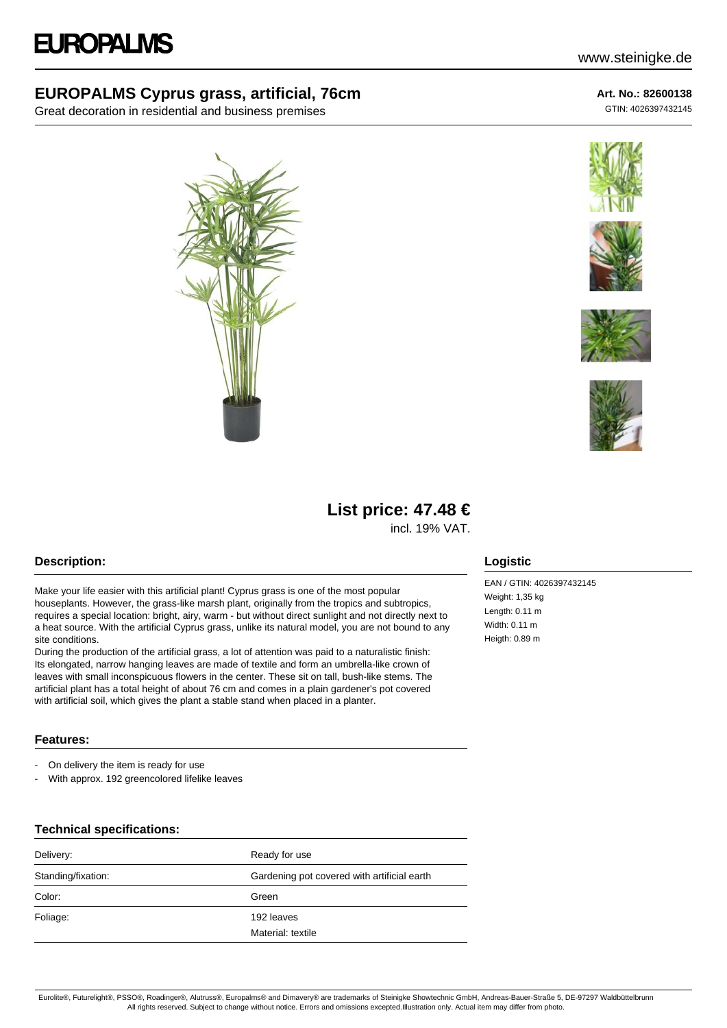### **EUROPALMS Cyprus grass, artificial, 76cm**

Great decoration in residential and business premises



# www.steinigke.de

**Art. No.: 82600138**

GTIN: 4026397432145









## **List price: 47.48 €**

incl. 19% VAT.

#### **Description:**

Make your life easier with this artificial plant! Cyprus grass is one of the most popular houseplants. However, the grass-like marsh plant, originally from the tropics and subtropics, requires a special location: bright, airy, warm - but without direct sunlight and not directly next to a heat source. With the artificial Cyprus grass, unlike its natural model, you are not bound to any site conditions.

During the production of the artificial grass, a lot of attention was paid to a naturalistic finish: Its elongated, narrow hanging leaves are made of textile and form an umbrella-like crown of leaves with small inconspicuous flowers in the center. These sit on tall, bush-like stems. The artificial plant has a total height of about 76 cm and comes in a plain gardener's pot covered with artificial soil, which gives the plant a stable stand when placed in a planter.

#### **Features:**

- On delivery the item is ready for use
- With approx. 192 greencolored lifelike leaves

#### **Technical specifications:**

| Delivery:          | Ready for use                               |
|--------------------|---------------------------------------------|
| Standing/fixation: | Gardening pot covered with artificial earth |
| Color:             | Green                                       |
| Foliage:           | 192 leaves                                  |
|                    | Material: textile                           |

#### **Logistic**

EAN / GTIN: 4026397432145 Weight: 1,35 kg Length: 0.11 m Width: 0.11 m Heigth: 0.89 m

Eurolite®, Futurelight®, PSSO®, Roadinger®, Alutruss®, Europalms® and Dimavery® are trademarks of Steinigke Showtechnic GmbH, Andreas-Bauer-Straße 5, DE-97297 Waldbüttelbrunn All rights reserved. Subject to change without notice. Errors and omissions excepted.Illustration only. Actual item may differ from photo.